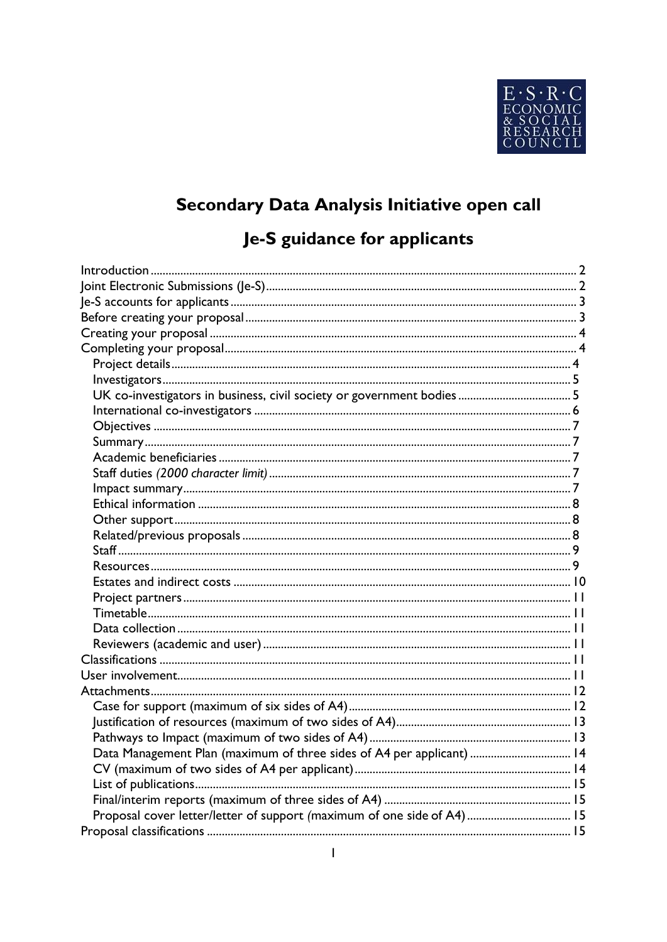

# Secondary Data Analysis Initiative open call

# Je-S guidance for applicants

| Data Management Plan (maximum of three sides of A4 per applicant)  14 |  |
|-----------------------------------------------------------------------|--|
|                                                                       |  |
|                                                                       |  |
|                                                                       |  |
|                                                                       |  |
|                                                                       |  |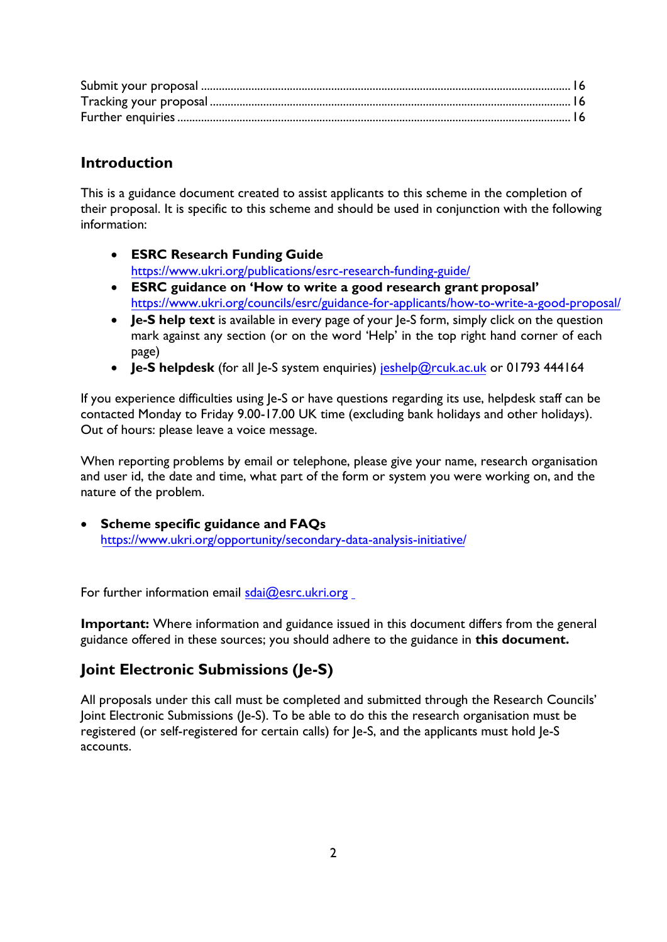# <span id="page-1-0"></span>**Introduction**

This is a guidance document created to assist applicants to this scheme in the completion of their proposal. It is specific to this scheme and should be used in conjunction with the following information:

- **ESRC Research Funding Guide** [https://www.ukri.org/publications/esrc-research-funding-guide/](https://esrc.ukri.org/funding/guidance-for-applicants/research-funding-guide/)
- **ESRC guidance on 'How to write a good research grant proposal'** [https://www.ukri.org/councils/esrc/guidance-for-applicants/how-to-write-a-g](https://esrc.ukri.org/funding/guidance-for-applicants/research-funding-guide/)ood-proposal/
- **Je-S help text** is available in every page of your Je-S form, simply click on the question mark against any section (or on the word 'Help' in the top right hand corner of each page)
- **Je-S helpdesk** (for all Je-S system enquiries) [jeshelp@rcuk.ac.uk o](mailto:jeshelp@rcuk.ac.uk)r 01793 444164

If you experience difficulties using Je-S or have questions regarding its use, helpdesk staff can be contacted Monday to Friday 9.00-17.00 UK time (excluding bank holidays and other holidays). Out of hours: please leave a voice message.

When reporting problems by email or telephone, please give your name, research organisation and user id, the date and time, what part of the form or system you were working on, and the nature of the problem.

• **Scheme specific guidance and FAQs** [https://www.ukri.org/opportunity/secondary-data-analysis-initiative/](https://esrc.ukri.org/funding/funding-opportunities/secondary-data-analysis-initiative-sdai-open-call/)

For further information email  $sdai@esc.ukri.org$ 

**Important:** Where information and guidance issued in this document differs from the general guidance offered in these sources; you should adhere to the guidance in **this document.**

# <span id="page-1-1"></span>**Joint Electronic Submissions (Je-S)**

All proposals under this call must be completed and submitted through the Research Councils' Joint Electronic Submissions (Je-S). To be able to do this the research organisation must be registered (or self-registered for certain calls) for Je-S, and the applicants must hold Je-S accounts.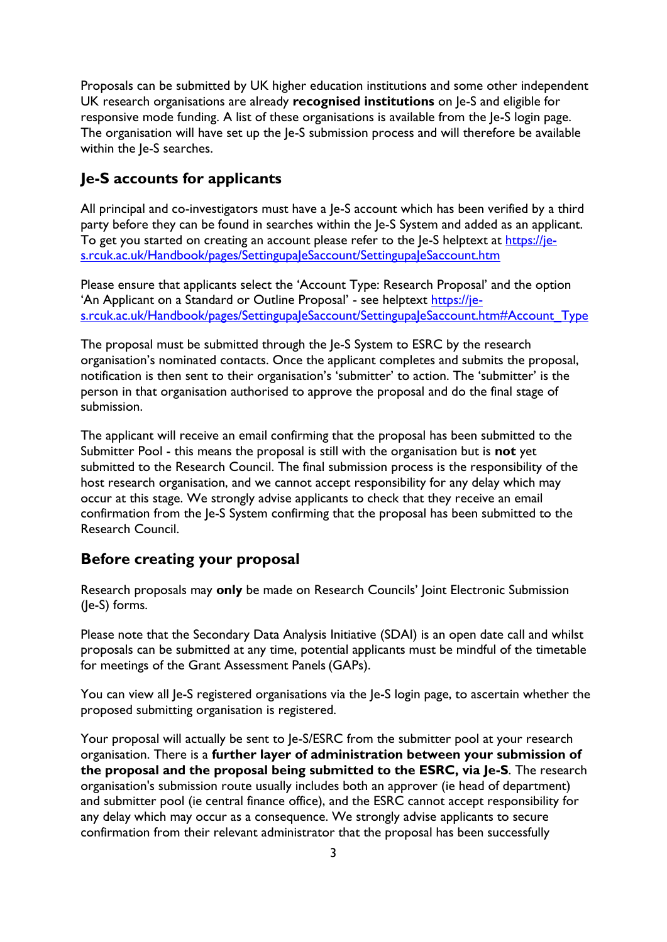Proposals can be submitted by UK higher education institutions and some other independent UK research organisations are already **recognised institutions** on Je-S and eligible for responsive mode funding. A list of these organisations is available from the Je-S login page. The organisation will have set up the Je-S submission process and will therefore be available within the Je-S searches.

# <span id="page-2-0"></span>**Je-S accounts for applicants**

All principal and co-investigators must have a Je-S account which has been verified by a third party before they can be found in searches within the Je-S System and added as an applicant. To get you started on creating an account please refer to the Je-S helptext at [https://je](https://je-s.rcuk.ac.uk/Handbook/pages/SettingupaJeSaccount/SettingupaJeSaccount.htm)[s.rcuk.ac.uk/Handbook/pages/SettingupaJeSaccount/SettingupaJeSaccount.htm](https://je-s.rcuk.ac.uk/Handbook/pages/SettingupaJeSaccount/SettingupaJeSaccount.htm)

Please ensure that applicants select the 'Account Type: Research Proposal' and the option 'An Applicant on a Standard or Outline Proposal' - see helptext [https://je](https://je-s.rcuk.ac.uk/Handbook/pages/SettingupaJeSaccount/SettingupaJeSaccount.htm#Account_Type)[s.rcuk.ac.uk/Handbook/pages/SettingupaJeSaccount/SettingupaJeSaccount.htm#Account\\_Type](https://je-s.rcuk.ac.uk/Handbook/pages/SettingupaJeSaccount/SettingupaJeSaccount.htm#Account_Type)

The proposal must be submitted through the Je-S System to ESRC by the research organisation's nominated contacts. Once the applicant completes and submits the proposal, notification is then sent to their organisation's 'submitter' to action. The 'submitter' is the person in that organisation authorised to approve the proposal and do the final stage of submission.

The applicant will receive an email confirming that the proposal has been submitted to the Submitter Pool - this means the proposal is still with the organisation but is **not** yet submitted to the Research Council. The final submission process is the responsibility of the host research organisation, and we cannot accept responsibility for any delay which may occur at this stage. We strongly advise applicants to check that they receive an email confirmation from the Je-S System confirming that the proposal has been submitted to the Research Council.

# <span id="page-2-1"></span>**Before creating your proposal**

Research proposals may **only** be made on Research Councils' Joint Electronic Submission (Je-S) forms.

Please note that the Secondary Data Analysis Initiative (SDAI) is an open date call and whilst proposals can be submitted at any time, potential applicants must be mindful of the timetable for meetings of the Grant Assessment Panels(GAPs).

You can view all Je-S registered organisations via the Je-S login page, to ascertain whether the proposed submitting organisation is registered.

Your proposal will actually be sent to Je-S/ESRC from the submitter pool at your research organisation. There is a **further layer of administration between your submission of the proposal and the proposal being submitted to the ESRC, via Je-S**. The research organisation's submission route usually includes both an approver (ie head of department) and submitter pool (ie central finance office), and the ESRC cannot accept responsibility for any delay which may occur as a consequence. We strongly advise applicants to secure confirmation from their relevant administrator that the proposal has been successfully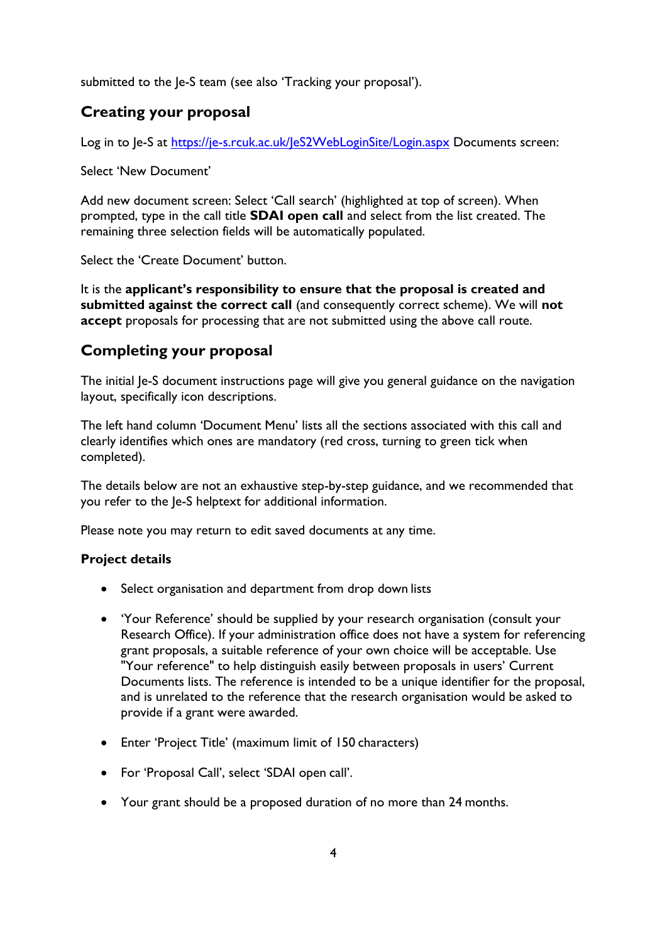<span id="page-3-0"></span>submitted to the Je-S team (see also 'Tracking your proposal').

# **Creating your proposal**

Log in to Je-S at<https://je-s.rcuk.ac.uk/JeS2WebLoginSite/Login.aspx> Documents screen:

Select 'New Document'

Add new document screen: Select 'Call search' (highlighted at top of screen). When prompted, type in the call title **SDAI open call** and select from the list created. The remaining three selection fields will be automatically populated.

Select the 'Create Document' button.

It is the **applicant's responsibility to ensure that the proposal is created and submitted against the correct call** (and consequently correct scheme). We will **not accept** proposals for processing that are not submitted using the above call route.

# <span id="page-3-1"></span>**Completing your proposal**

The initial Je-S document instructions page will give you general guidance on the navigation layout, specifically icon descriptions.

The left hand column 'Document Menu' lists all the sections associated with this call and clearly identifies which ones are mandatory (red cross, turning to green tick when completed).

The details below are not an exhaustive step-by-step guidance, and we recommended that you refer to the Je-S helptext for additional information.

<span id="page-3-2"></span>Please note you may return to edit saved documents at any time.

#### **Project details**

- Select organisation and department from drop down lists
- 'Your Reference' should be supplied by your research organisation (consult your Research Office). If your administration office does not have a system for referencing grant proposals, a suitable reference of your own choice will be acceptable. Use "Your reference" to help distinguish easily between proposals in users' Current Documents lists. The reference is intended to be a unique identifier for the proposal, and is unrelated to the reference that the research organisation would be asked to provide if a grant were awarded.
- Enter 'Project Title' (maximum limit of 150 characters)
- For 'Proposal Call', select 'SDAI open call'.
- Your grant should be a proposed duration of no more than 24 months.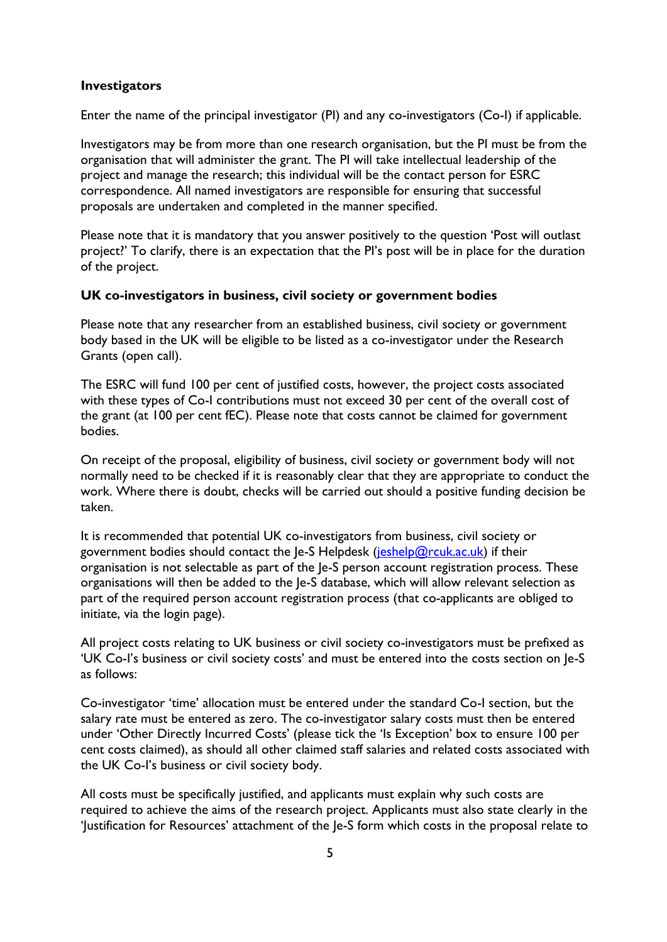#### <span id="page-4-0"></span>**Investigators**

Enter the name of the principal investigator (PI) and any co-investigators (Co-I) if applicable.

Investigators may be from more than one research organisation, but the PI must be from the organisation that will administer the grant. The PI will take intellectual leadership of the project and manage the research; this individual will be the contact person for ESRC correspondence. All named investigators are responsible for ensuring that successful proposals are undertaken and completed in the manner specified.

Please note that it is mandatory that you answer positively to the question 'Post will outlast project?' To clarify, there is an expectation that the PI's post will be in place for the duration of the project.

#### <span id="page-4-1"></span>**UK co-investigators in business, civil society or government bodies**

Please note that any researcher from an established business, civil society or government body based in the UK will be eligible to be listed as a co-investigator under the Research Grants (open call).

The ESRC will fund 100 per cent of justified costs, however, the project costs associated with these types of Co-I contributions must not exceed 30 per cent of the overall cost of the grant (at 100 per cent fEC). Please note that costs cannot be claimed for government bodies.

On receipt of the proposal, eligibility of business, civil society or government body will not normally need to be checked if it is reasonably clear that they are appropriate to conduct the work. Where there is doubt, checks will be carried out should a positive funding decision be taken.

It is recommended that potential UK co-investigators from business, civil society or government bodies should contact the  $|e-S|$  Helpdesk [\(jeshelp@rcuk.ac.uk\)](mailto:jeshelp@rcuk.ac.uk) if their organisation is not selectable as part of the Je-S person account registration process. These organisations will then be added to the Je-S database, which will allow relevant selection as part of the required person account registration process (that co-applicants are obliged to initiate, via the login page).

All project costs relating to UK business or civil society co-investigators must be prefixed as 'UK Co-I's business or civil society costs' and must be entered into the costs section on Je-S as follows:

Co-investigator 'time' allocation must be entered under the standard Co-I section, but the salary rate must be entered as zero. The co-investigator salary costs must then be entered under 'Other Directly Incurred Costs' (please tick the 'Is Exception' box to ensure 100 per cent costs claimed), as should all other claimed staff salaries and related costs associated with the UK Co-I's business or civil society body.

All costs must be specifically justified, and applicants must explain why such costs are required to achieve the aims of the research project. Applicants must also state clearly in the 'Justification for Resources' attachment of the Je-S form which costs in the proposal relate to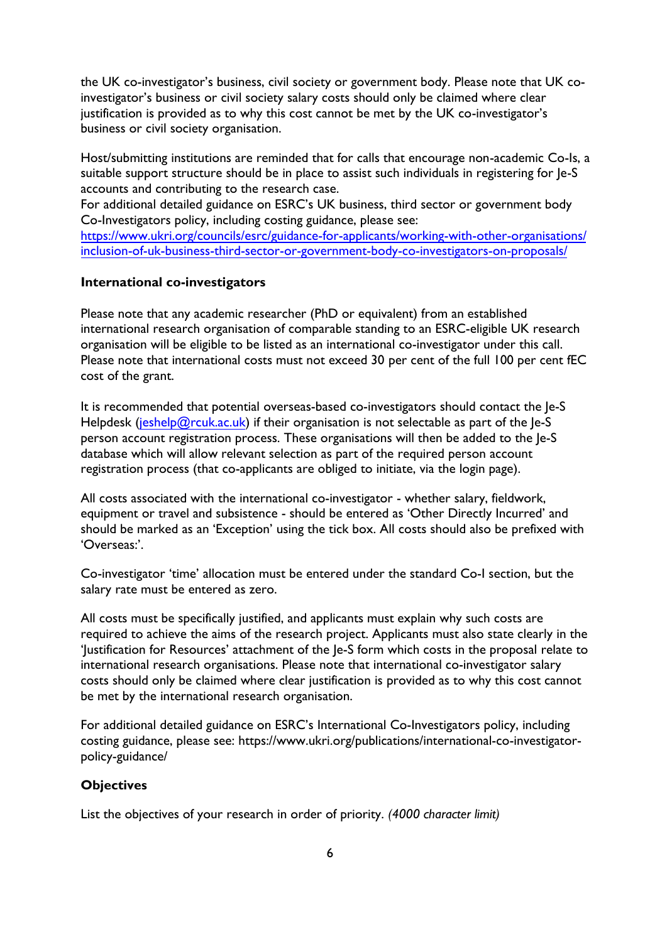the UK co-investigator's business, civil society or government body. Please note that UK coinvestigator's business or civil society salary costs should only be claimed where clear justification is provided as to why this cost cannot be met by the UK co-investigator's business or civil society organisation.

Host/submitting institutions are reminded that for calls that encourage non-academic Co-Is, a suitable support structure should be in place to assist such individuals in registering for Je-S accounts and contributing to the research case.

For additional detailed guidance on ESRC's UK business, third sector or government body Co-Investigators policy, including costing guidance, please see:

[https://www.ukri.org/councils/esrc/guidance-for-applicants/working-with-other-organisations/](https://esrc.ukri.org/funding/guidance-for-applicants/inclusion-of-uk-business-third-sector-or-government-body-co-investigators-on-proposals/) [inclusion-of-uk-business-third-sector-or-governme](https://esrc.ukri.org/funding/guidance-for-applicants/inclusion-of-uk-business-third-sector-or-government-body-co-investigators-on-proposals/)nt-body-co-investigators-on-proposals/

#### <span id="page-5-0"></span>**International co-investigators**

Please note that any academic researcher (PhD or equivalent) from an established international research organisation of comparable standing to an ESRC-eligible UK research organisation will be eligible to be listed as an international co-investigator under this call. Please note that international costs must not exceed 30 per cent of the full 100 per cent fEC cost of the grant.

It is recommended that potential overseas-based co-investigators should contact the Je-S Helpdesk [\(jeshelp@rcuk.ac.uk\)](mailto:jeshelp@rcuk.ac.uk) if their organisation is not selectable as part of the  $Ie-S$ person account registration process. These organisations will then be added to the Je-S database which will allow relevant selection as part of the required person account registration process (that co-applicants are obliged to initiate, via the login page).

All costs associated with the international co-investigator - whether salary, fieldwork, equipment or travel and subsistence - should be entered as 'Other Directly Incurred' and should be marked as an 'Exception' using the tick box. All costs should also be prefixed with 'Overseas:'.

Co-investigator 'time' allocation must be entered under the standard Co-I section, but the salary rate must be entered as zero.

All costs must be specifically justified, and applicants must explain why such costs are required to achieve the aims of the research project. Applicants must also state clearly in the 'Justification for Resources' attachment of the Je-S form which costs in the proposal relate to international research organisations. Please note that international co-investigator salary costs should only be claimed where clear justification is provided as to why this cost cannot be met by the international research organisation.

For additional detailed guidance on ESRC's International Co-Investigators policy, including costing guidance, please see: [https://www.ukri.org/publications/international-co-investigator](https://esrc.ukri.org/search-results/?keywords=Inclusion+of+international+co-investigators+on+proposals&siteid=esrc)[policy-guidance/](https://esrc.ukri.org/search-results/?keywords=Inclusion+of+international+co-investigators+on+proposals&siteid=esrc)

#### <span id="page-5-1"></span>**Objectives**

List the objectives of your research in order of priority. *(4000 character limit)*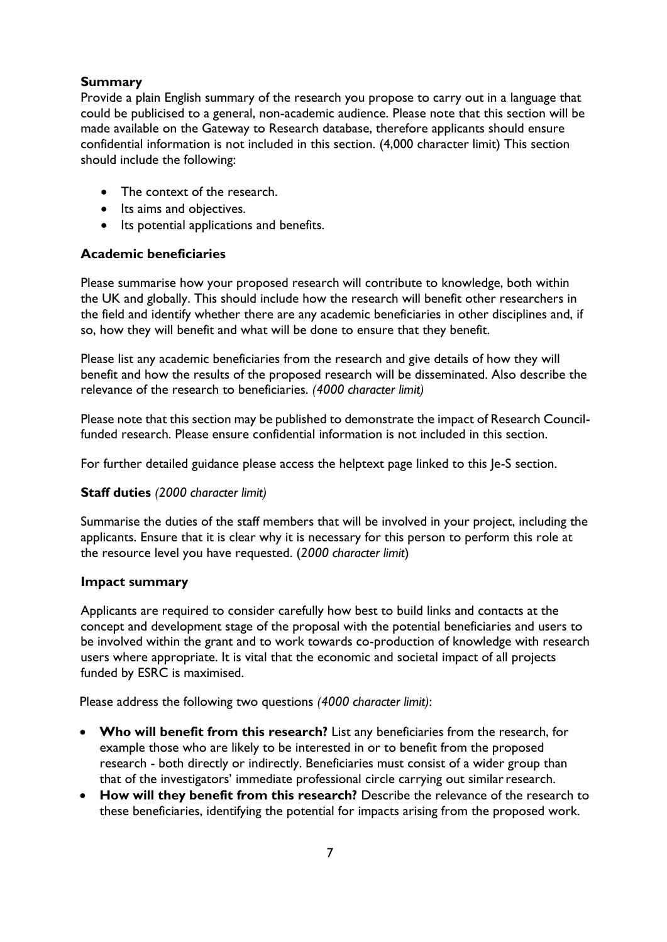### <span id="page-6-0"></span>**Summary**

Provide a plain English summary of the research you propose to carry out in a language that could be publicised to a general, non-academic audience. Please note that this section will be made available on the Gateway to Research database, therefore applicants should ensure confidential information is not included in this section. (4,000 character limit) This section should include the following:

- The context of the research.
- Its aims and objectives.
- Its potential applications and benefits.

### <span id="page-6-1"></span>**Academic beneficiaries**

Please summarise how your proposed research will contribute to knowledge, both within the UK and globally. This should include how the research will benefit other researchers in the field and identify whether there are any academic beneficiaries in other disciplines and, if so, how they will benefit and what will be done to ensure that they benefit.

Please list any academic beneficiaries from the research and give details of how they will benefit and how the results of the proposed research will be disseminated. Also describe the relevance of the research to beneficiaries. *(4000 character limit)*

Please note that this section may be published to demonstrate the impact of Research Councilfunded research. Please ensure confidential information is not included in this section.

For further detailed guidance please access the helptext page linked to this Je-S section.

# <span id="page-6-2"></span>**Staff duties** *(2000 character limit)*

<span id="page-6-3"></span>Summarise the duties of the staff members that will be involved in your project, including the applicants. Ensure that it is clear why it is necessary for this person to perform this role at the resource level you have requested. (*2000 character limit*)

#### **Impact summary**

Applicants are required to consider carefully how best to build links and contacts at the concept and development stage of the proposal with the potential beneficiaries and users to be involved within the grant and to work towards co-production of knowledge with research users where appropriate. It is vital that the economic and societal impact of all projects funded by ESRC is maximised.

Please address the following two questions *(4000 character limit)*:

- **Who will benefit from this research?** List any beneficiaries from the research, for example those who are likely to be interested in or to benefit from the proposed research - both directly or indirectly. Beneficiaries must consist of a wider group than that of the investigators' immediate professional circle carrying out similarresearch.
- **How will they benefit from this research?** Describe the relevance of the research to these beneficiaries, identifying the potential for impacts arising from the proposed work.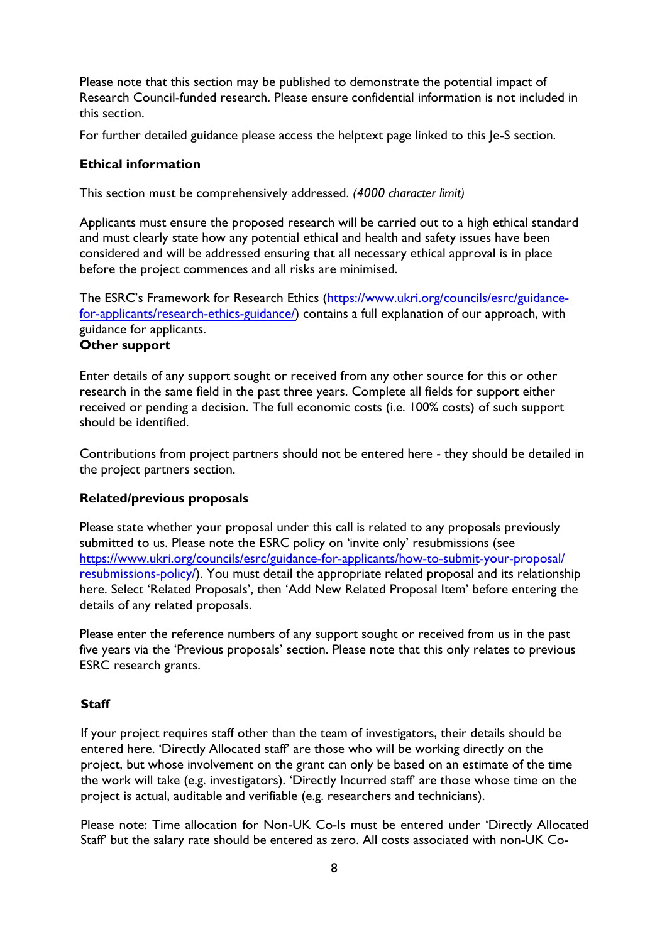Please note that this section may be published to demonstrate the potential impact of Research Council-funded research. Please ensure confidential information is not included in this section.

For further detailed guidance please access the helptext page linked to this Je-S section.

### <span id="page-7-0"></span>**Ethical information**

This section must be comprehensively addressed. *(4000 character limit)* 

Applicants must ensure the proposed research will be carried out to a high ethical standard and must clearly state how any potential ethical and health and safety issues have been considered and will be addressed ensuring that all necessary ethical approval is in place before the project commences and all risks are minimised.

The ESRC's Framework for Research Ethics ([https://www.ukri.org/councils/esrc/guidance](https://esrc.ukri.org/funding/guidance-for-applicants/research-ethics/)[for-applicants/research-eth](https://esrc.ukri.org/funding/guidance-for-applicants/research-ethics/)ics-guidance/) contains a full explanation of our approach, with guidance for applicants. **Other support** 

<span id="page-7-1"></span>Enter details of any support sought or received from any other source for this or other research in the same field in the past three years. Complete all fields for support either received or pending a decision. The full economic costs (i.e. 100% costs) of such support should be identified.

Contributions from project partners should not be entered here - they should be detailed in the project partners section.

# <span id="page-7-2"></span>**Related/previous proposals**

Please state whether your proposal under this call is related to any proposals previously submitted to us. Please note the ESRC policy on 'invite only' resubmissions (see [https://www.ukri.org/councils/esrc/guidance-for-applicants/how-to-submit-](https://esrc.ukri.org/funding/guidance-for-applicants/resubmissions-policy/)your-proposal/ resubmissions-policy/). You must detail the appropriate related proposal and its relationship here. Select 'Related Proposals', then 'Add New Related Proposal Item' before entering the details of any related proposals.

<span id="page-7-3"></span>Please enter the reference numbers of any support sought or received from us in the past five years via the 'Previous proposals' section. Please note that this only relates to previous ESRC research grants.

# **Staff**

If your project requires staff other than the team of investigators, their details should be entered here. 'Directly Allocated staff' are those who will be working directly on the project, but whose involvement on the grant can only be based on an estimate of the time the work will take (e.g. investigators). 'Directly Incurred staff' are those whose time on the project is actual, auditable and verifiable (e.g. researchers and technicians).

Please note: Time allocation for Non-UK Co-Is must be entered under 'Directly Allocated Staff' but the salary rate should be entered as zero. All costs associated with non-UK Co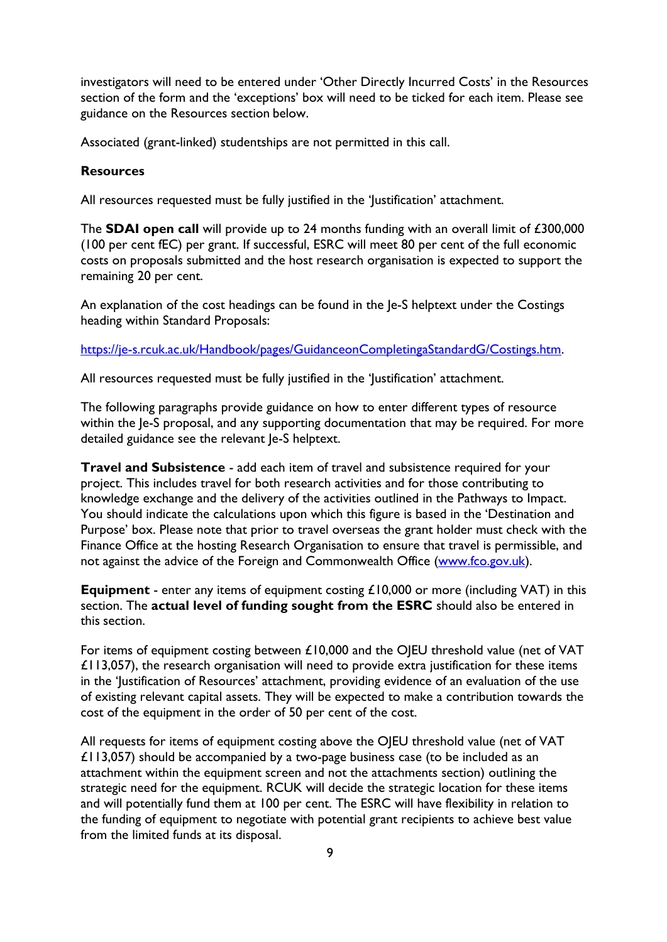investigators will need to be entered under 'Other Directly Incurred Costs' in the Resources section of the form and the 'exceptions' box will need to be ticked for each item. Please see guidance on the Resources section below.

Associated (grant-linked) studentships are not permitted in this call.

### <span id="page-8-0"></span>**Resources**

All resources requested must be fully justified in the 'Justification' attachment.

The **SDAI open call** will provide up to 24 months funding with an overall limit of £300,000 (100 per cent fEC) per grant. If successful, ESRC will meet 80 per cent of the full economic costs on proposals submitted and the host research organisation is expected to support the remaining 20 per cent.

An explanation of the cost headings can be found in the Je-S helptext under the Costings heading within Standard Proposals:

[https://je-s.rcuk.ac.uk/Handbook/pages/GuidanceonCompletingaStandardG/Costings.htm.](https://je-s.rcuk.ac.uk/Handbook/pages/GuidanceonCompletingaStandardG/Costings.htm)

All resources requested must be fully justified in the 'Justification' attachment.

The following paragraphs provide guidance on how to enter different types of resource within the Je-S proposal, and any supporting documentation that may be required. For more detailed guidance see the relevant Je-S helptext.

**Travel and Subsistence** - add each item of travel and subsistence required for your project. This includes travel for both research activities and for those contributing to knowledge exchange and the delivery of the activities outlined in the Pathways to Impact. You should indicate the calculations upon which this figure is based in the 'Destination and Purpose' box. Please note that prior to travel overseas the grant holder must check with the Finance Office at the hosting Research Organisation to ensure that travel is permissible, and not against the advice of the Foreign and Commonwealth Office [\(www.fco.gov.uk\)](http://www.fco.gov.uk/).

**Equipment** - enter any items of equipment costing £10,000 or more (including VAT) in this section. The **actual level of funding sought from the ESRC** should also be entered in this section.

For items of equipment costing between £10,000 and the OJEU threshold value (net of VAT £113,057), the research organisation will need to provide extra justification for these items in the 'Justification of Resources' attachment, providing evidence of an evaluation of the use of existing relevant capital assets. They will be expected to make a contribution towards the cost of the equipment in the order of 50 per cent of the cost.

All requests for items of equipment costing above the OJEU threshold value (net of VAT £113,057) should be accompanied by a two-page business case (to be included as an attachment within the equipment screen and not the attachments section) outlining the strategic need for the equipment. RCUK will decide the strategic location for these items and will potentially fund them at 100 per cent. The ESRC will have flexibility in relation to the funding of equipment to negotiate with potential grant recipients to achieve best value from the limited funds at its disposal.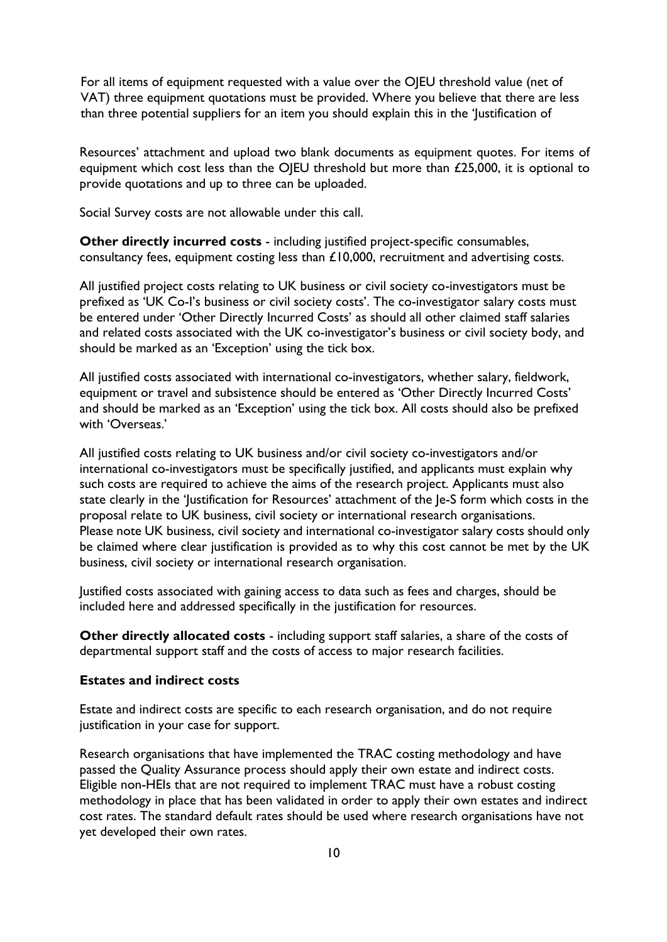For all items of equipment requested with a value over the OJEU threshold value (net of VAT) three equipment quotations must be provided. Where you believe that there are less than three potential suppliers for an item you should explain this in the 'Justification of

Resources' attachment and upload two blank documents as equipment quotes. For items of equipment which cost less than the OJEU threshold but more than £25,000, it is optional to provide quotations and up to three can be uploaded.

Social Survey costs are not allowable under this call.

**Other directly incurred costs** - including justified project-specific consumables, consultancy fees, equipment costing less than  $£10,000$ , recruitment and advertising costs.

All justified project costs relating to UK business or civil society co-investigators must be prefixed as 'UK Co-I's business or civil society costs'. The co-investigator salary costs must be entered under 'Other Directly Incurred Costs' as should all other claimed staff salaries and related costs associated with the UK co-investigator's business or civil society body, and should be marked as an 'Exception' using the tick box.

All justified costs associated with international co-investigators, whether salary, fieldwork, equipment or travel and subsistence should be entered as 'Other Directly Incurred Costs' and should be marked as an 'Exception' using the tick box. All costs should also be prefixed with 'Overseas.'

All justified costs relating to UK business and/or civil society co-investigators and/or international co-investigators must be specifically justified, and applicants must explain why such costs are required to achieve the aims of the research project. Applicants must also state clearly in the 'Justification for Resources' attachment of the Je-S form which costs in the proposal relate to UK business, civil society or international research organisations. Please note UK business, civil society and international co-investigator salary costs should only be claimed where clear justification is provided as to why this cost cannot be met by the UK business, civil society or international research organisation.

Justified costs associated with gaining access to data such as fees and charges, should be included here and addressed specifically in the justification for resources.

**Other directly allocated costs** - including support staff salaries, a share of the costs of departmental support staff and the costs of access to major research facilities.

#### <span id="page-9-0"></span>**Estates and indirect costs**

Estate and indirect costs are specific to each research organisation, and do not require justification in your case for support.

Research organisations that have implemented the TRAC costing methodology and have passed the Quality Assurance process should apply their own estate and indirect costs. Eligible non-HEIs that are not required to implement TRAC must have a robust costing methodology in place that has been validated in order to apply their own estates and indirect cost rates. The standard default rates should be used where research organisations have not yet developed their own rates.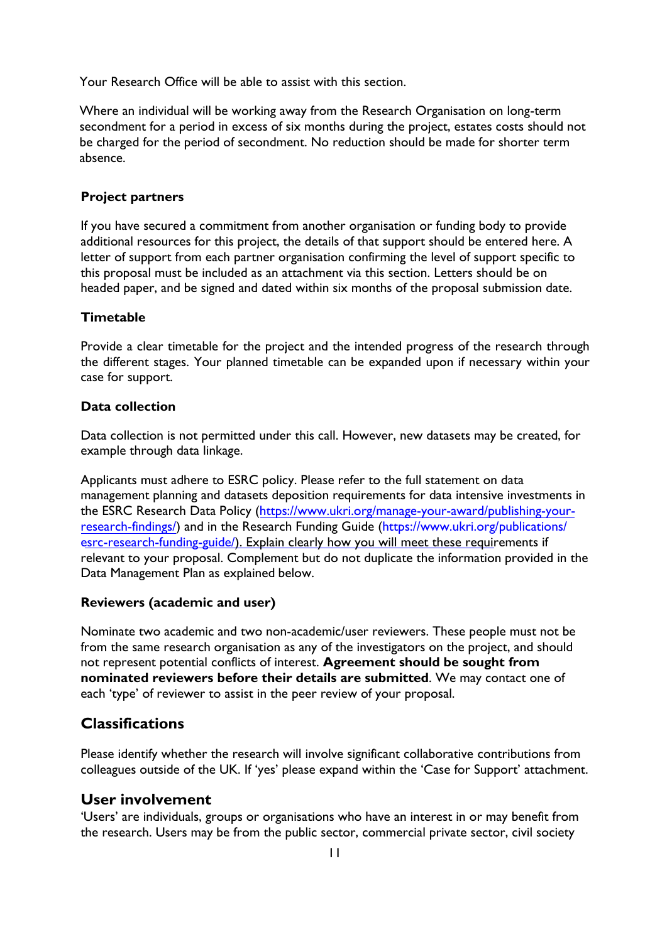Your Research Office will be able to assist with this section.

Where an individual will be working away from the Research Organisation on long-term secondment for a period in excess of six months during the project, estates costs should not be charged for the period of secondment. No reduction should be made for shorter term absence.

#### <span id="page-10-0"></span>**Project partners**

If you have secured a commitment from another organisation or funding body to provide additional resources for this project, the details of that support should be entered here. A letter of support from each partner organisation confirming the level of support specific to this proposal must be included as an attachment via this section. Letters should be on headed paper, and be signed and dated within six months of the proposal submission date.

#### <span id="page-10-1"></span>**Timetable**

Provide a clear timetable for the project and the intended progress of the research through the different stages. Your planned timetable can be expanded upon if necessary within your case for support.

#### <span id="page-10-2"></span>**Data collection**

Data collection is not permitted under this call. However, new datasets may be created, for example through data linkage.

Applicants must adhere to ESRC policy. Please refer to the full statement on data management planning and datasets deposition requirements for data intensive investments in the ESRC Research Data Policy ([https://www.ukri.org/manage-your-award/publishing-your](https://esrc.ukri.org/funding/guidance-for-grant-holders/research-data-policy/)[research-findings/](https://esrc.ukri.org/funding/guidance-for-grant-holders/research-data-policy/)) and in the Research Funding Guide (https://www.ukri.org/publications/ esrc-research-funding-guide/[\). Explain clearly how you will meet these requirements if](https://esrc.ukri.org/funding/guidance-for-applicants/research-funding-guide/)  relevant to your proposal. Complement but do not duplicate the information provided in the Data Management Plan as explained below.

#### <span id="page-10-3"></span>**Reviewers (academic and user)**

Nominate two academic and two non-academic/user reviewers. These people must not be from the same research organisation as any of the investigators on the project, and should not represent potential conflicts of interest. **Agreement should be sought from nominated reviewers before their details are submitted**. We may contact one of each 'type' of reviewer to assist in the peer review of your proposal.

# <span id="page-10-4"></span>**Classifications**

Please identify whether the research will involve significant collaborative contributions from colleagues outside of the UK. If 'yes' please expand within the 'Case for Support' attachment.

#### <span id="page-10-5"></span>**User involvement**

<span id="page-10-6"></span>'Users' are individuals, groups or organisations who have an interest in or may benefit from the research. Users may be from the public sector, commercial private sector, civil society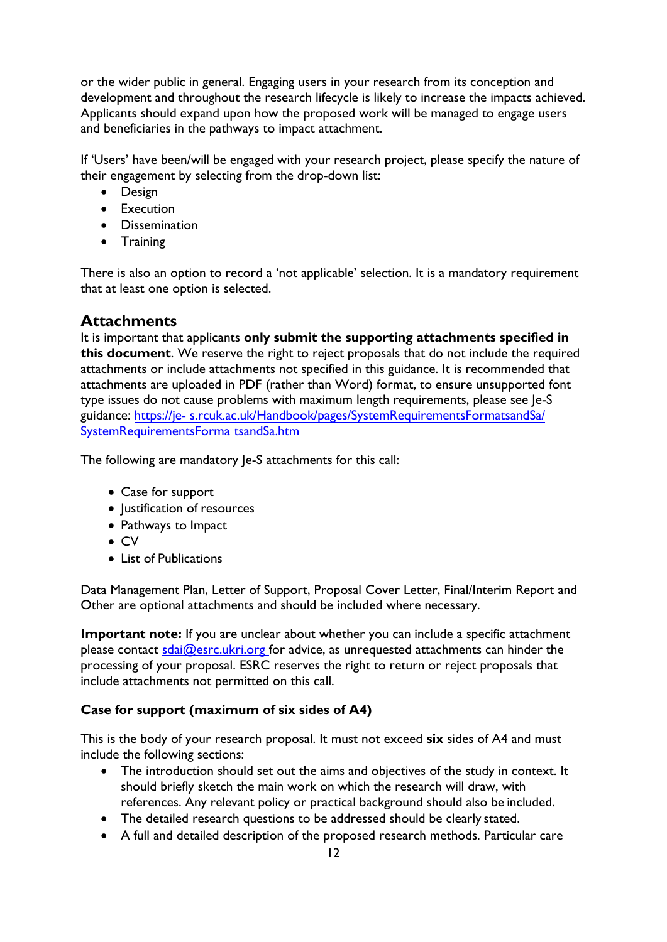or the wider public in general. Engaging users in your research from its conception and development and throughout the research lifecycle is likely to increase the impacts achieved. Applicants should expand upon how the proposed work will be managed to engage users and beneficiaries in the pathways to impact attachment.

If 'Users' have been/will be engaged with your research project, please specify the nature of their engagement by selecting from the drop-down list:

- Design
- Execution
- Dissemination
- Training

There is also an option to record a 'not applicable' selection. It is a mandatory requirement that at least one option is selected.

# **Attachments**

It is important that applicants **only submit the supporting attachments specified in this document**. We reserve the right to reject proposals that do not include the required attachments or include attachments not specified in this guidance. It is recommended that attachments are uploaded in PDF (rather than Word) format, to ensure unsupported font type issues do not cause problems with maximum length requirements, please see Je-S guidance: [https://je-](https://je-s.rcuk.ac.uk/Handbook/pages/SystemRequirementsFormatsandSa/SystemRequirementsFormatsandSa.htm) s.rcuk.ac.uk/Handbook/pages/SystemRequirementsFormatsandSa/ [SystemRequirementsForma tsandSa.htm](https://je-s.rcuk.ac.uk/Handbook/pages/SystemRequirementsFormatsandSa/SystemRequirementsFormatsandSa.htm)

[The followin](https://je-s.rcuk.ac.uk/Handbook/pages/SystemRequirementsFormatsandSa/SystemRequirementsFormatsandSa.htm)g are mandatory Je-S attachments for this call:

- Case for support
- Justification of resources
- Pathways to Impact
- CV
- List of Publications

Data Management Plan, Letter of Support, Proposal Cover Letter, Final/Interim Report and Other are optional attachments and should be included where necessary.

**Important note:** If you are unclear about whether you can include a specific attachment please contact  $sdai@esc.ukri.org$  for advice, as unrequested attachments can hinder the processing of your proposal. ESRC reserves the right to return or reject proposals that include attachments not permitted on this call.

# <span id="page-11-0"></span>**Case for support (maximum of six sides of A4)**

This is the body of your research proposal. It must not exceed **six** sides of A4 and must include the following sections:

- The introduction should set out the aims and objectives of the study in context. It should briefly sketch the main work on which the research will draw, with references. Any relevant policy or practical background should also be included.
- The detailed research questions to be addressed should be clearly stated.
- A full and detailed description of the proposed research methods. Particular care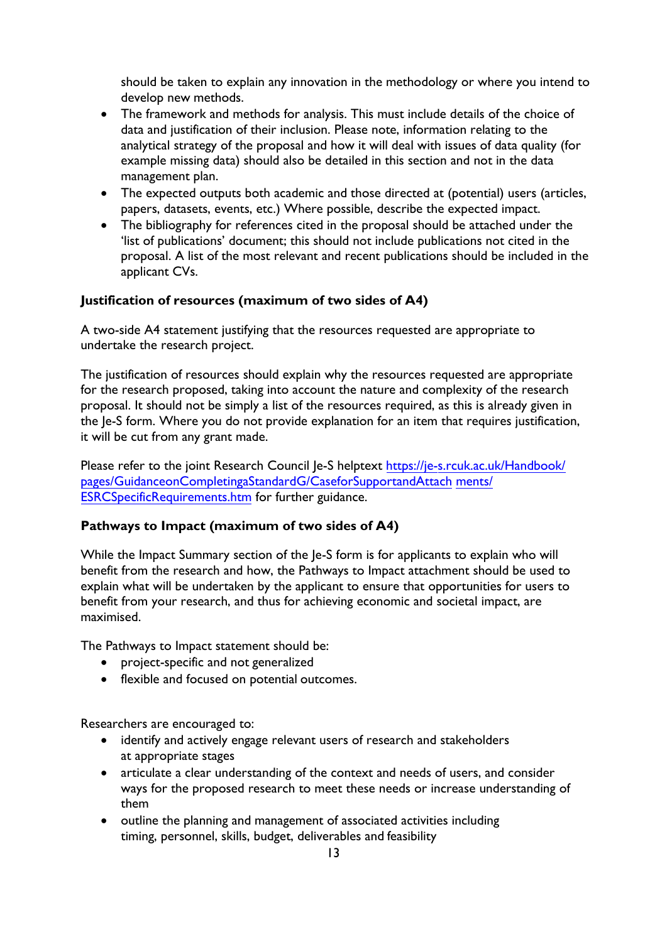should be taken to explain any innovation in the methodology or where you intend to develop new methods.

- The framework and methods for analysis. This must include details of the choice of data and justification of their inclusion. Please note, information relating to the analytical strategy of the proposal and how it will deal with issues of data quality (for example missing data) should also be detailed in this section and not in the data management plan.
- The expected outputs both academic and those directed at (potential) users (articles, papers, datasets, events, etc.) Where possible, describe the expected impact.
- The bibliography for references cited in the proposal should be attached under the 'list of publications' document; this should not include publications not cited in the proposal. A list of the most relevant and recent publications should be included in the applicant CVs.

#### <span id="page-12-0"></span>**Justification of resources (maximum of two sides of A4)**

A two-side A4 statement justifying that the resources requested are appropriate to undertake the research project.

The justification of resources should explain why the resources requested are appropriate for the research proposed, taking into account the nature and complexity of the research proposal. It should not be simply a list of the resources required, as this is already given in the Je-S form. Where you do not provide explanation for an item that requires justification, it will be cut from any grant made.

Please refer to the joint Research Council Je-S helptext [https://je-s.rcuk.ac.uk/Handbook/](https://je-s.rcuk.ac.uk/Handbook/pages/GuidanceonCompletingaStandardG/CaseforSupportandAttachments/ESRCSpecificRequirements.htm) [pages/GuidanceonCompletingaStandardG/CaseforSupportandAttach](https://je-s.rcuk.ac.uk/Handbook/pages/GuidanceonCompletingaStandardG/CaseforSupportandAttachments/ESRCSpecificRequirements.htm) ments/ [ESRCSpecificRequirements.htm](https://je-s.rcuk.ac.uk/Handbook/pages/GuidanceonCompletingaStandardG/CaseforSupportandAttachments/ESRCSpecificRequirements.htm) for further guidance.

### <span id="page-12-1"></span>**Pathways to Impact (maximum of two sides of A4)**

While the Impact Summary section of the Je-S form is for applicants to explain who will benefit from the research and how, the Pathways to Impact attachment should be used to explain what will be undertaken by the applicant to ensure that opportunities for users to benefit from your research, and thus for achieving economic and societal impact, are maximised.

The Pathways to Impact statement should be:

- project-specific and not generalized
- flexible and focused on potential outcomes.

Researchers are encouraged to:

- identify and actively engage relevant users of research and stakeholders at appropriate stages
- articulate a clear understanding of the context and needs of users, and consider ways for the proposed research to meet these needs or increase understanding of them
- outline the planning and management of associated activities including timing, personnel, skills, budget, deliverables and feasibility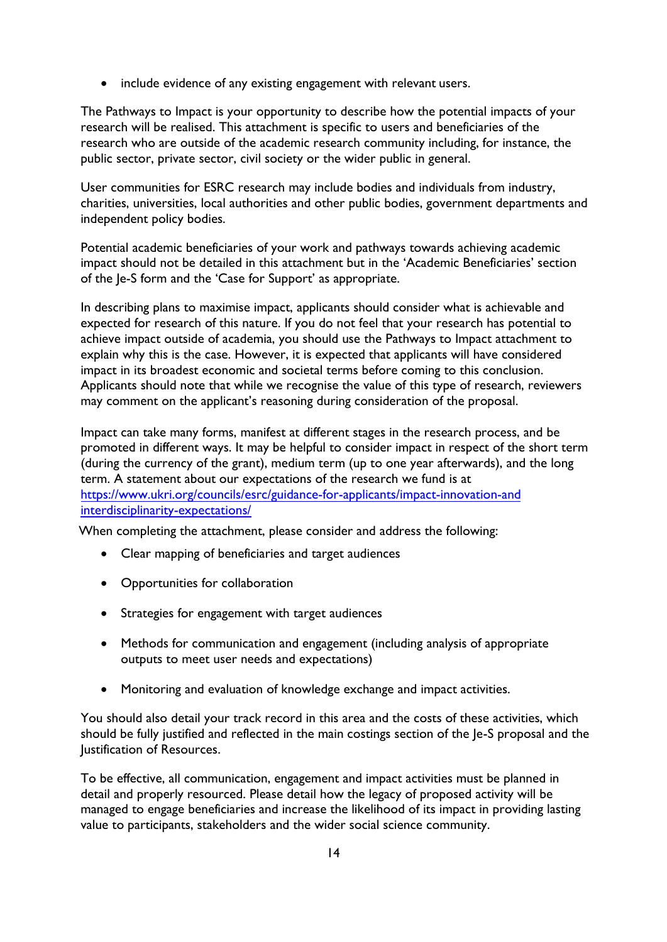• include evidence of any existing engagement with relevant users.

The Pathways to Impact is your opportunity to describe how the potential impacts of your research will be realised. This attachment is specific to users and beneficiaries of the research who are outside of the academic research community including, for instance, the public sector, private sector, civil society or the wider public in general.

User communities for ESRC research may include bodies and individuals from industry, charities, universities, local authorities and other public bodies, government departments and independent policy bodies.

Potential academic beneficiaries of your work and pathways towards achieving academic impact should not be detailed in this attachment but in the 'Academic Beneficiaries' section of the Je-S form and the 'Case for Support' as appropriate.

In describing plans to maximise impact, applicants should consider what is achievable and expected for research of this nature. If you do not feel that your research has potential to achieve impact outside of academia, you should use the Pathways to Impact attachment to explain why this is the case. However, it is expected that applicants will have considered impact in its broadest economic and societal terms before coming to this conclusion. Applicants should note that while we recognise the value of this type of research, reviewers may comment on the applicant's reasoning during consideration of the proposal.

Impact can take many forms, manifest at different stages in the research process, and be promoted in different ways. It may be helpful to consider impact in respect of the short term (during the currency of the grant), medium term (up to one year afterwards), and the long term. A statement about our expectations of the research we fund is at [https://www.ukri.org/councils/esrc/guidance-for-applicants/impact-innovation-and](https://esrc.ukri.org/funding/guidance-for-applicants/impact-innovation-and-interdisciplinarity/)  interdisciplinarity-expectations/

<span id="page-13-0"></span>When completing the attachment, please consider and address the following:

- Clear mapping of beneficiaries and target audiences
- Opportunities for collaboration
- Strategies for engagement with target audiences
- Methods for communication and engagement (including analysis of appropriate outputs to meet user needs and expectations)
- Monitoring and evaluation of knowledge exchange and impact activities.

You should also detail your track record in this area and the costs of these activities, which should be fully justified and reflected in the main costings section of the Je-S proposal and the Justification of Resources.

To be effective, all communication, engagement and impact activities must be planned in detail and properly resourced. Please detail how the legacy of proposed activity will be managed to engage beneficiaries and increase the likelihood of its impact in providing lasting value to participants, stakeholders and the wider social science community.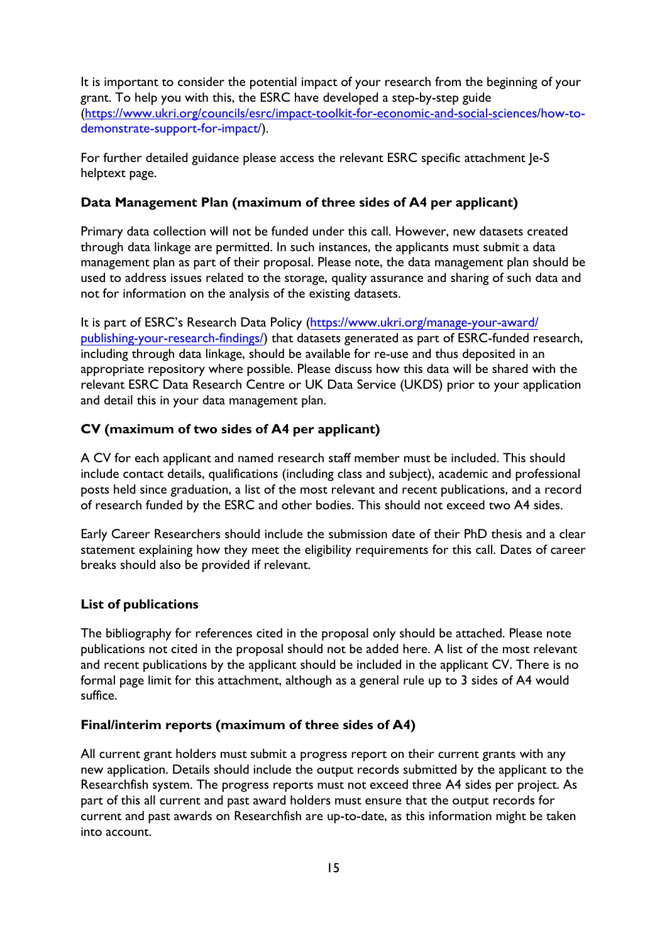It is important to consider the potential impact of your research from the beginning of your grant. To help you with this, the ESRC have developed a step-by-step guide ([https://www.ukri.org/councils/esrc/impact-toolkit-for-economic-and-social-sciences/how-to](https://esrc.ukri.org/research/impact-toolkit/developing-pathways-to-impact/)demonstrate-support-for-impact/).

For further detailed guidance please access the relevant ESRC specific attachment Je-S helptext page.

### **Data Management Plan (maximum of three sides of A4 per applicant)**

Primary data collection will not be funded under this call. However, new datasets created through data linkage are permitted. In such instances, the applicants must submit a data management plan as part of their proposal. Please note, the data management plan should be used to address issues related to the storage, quality assurance and sharing of such data and not for information on the analysis of the [existing datasets.](https://esrc.ukri.org/funding/guidance-for-grant-holders/research-data-policy/) 

[It is part of ESRC's](https://esrc.ukri.org/funding/guidance-for-grant-holders/research-data-policy/) Research Data Policy (https://www.ukri.org/manage-your-award/ publishing-your-research-findings/) that datasets generated as part of ESRC-funded research, including through data linkage, should be available for re-use and thus deposited in an appropriate repository where possible. Please discuss how this data will be shared with the relevant ESRC Data Research Centre or UK Data Service (UKDS) prior to your application and detail this in your data management plan.

# <span id="page-14-0"></span>**CV (maximum of two sides of A4 per applicant)**

A CV for each applicant and named research staff member must be included. This should include contact details, qualifications (including class and subject), academic and professional posts held since graduation, a list of the most relevant and recent publications, and a record of research funded by the ESRC and other bodies. This should not exceed two A4 sides.

<span id="page-14-1"></span>Early Career Researchers should include the submission date of their PhD thesis and a clear statement explaining how they meet the eligibility requirements for this call. Dates of career breaks should also be provided if relevant.

# <span id="page-14-2"></span>**List of publications**

The bibliography for references cited in the proposal only should be attached. Please note publications not cited in the proposal should not be added here. A list of the most relevant and recent publications by the applicant should be included in the applicant CV. There is no formal page limit for this attachment, although as a general rule up to 3 sides of A4 would suffice.

#### <span id="page-14-3"></span>**Final/interim reports (maximum of three sides of A4)**

All current grant holders must submit a progress report on their current grants with any new application. Details should include the output records submitted by the applicant to the Researchfish system. The progress reports must not exceed three A4 sides per project. As part of this all current and past award holders must ensure that the output records for current and past awards on Researchfish are up-to-date, as this information might be taken into account.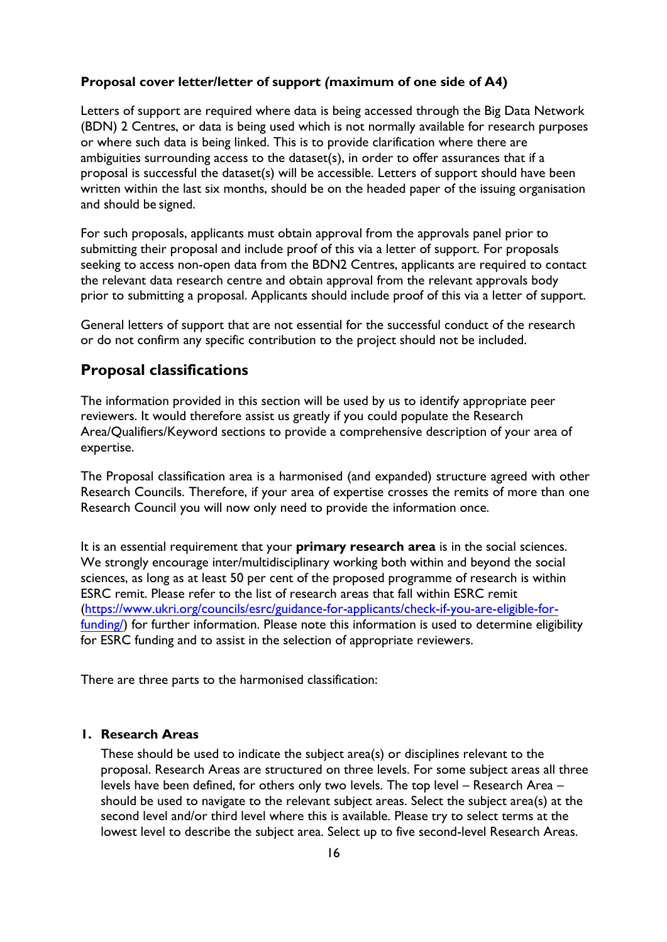#### **Proposal cover letter/letter of support** *(***maximum of one side of A4)**

Letters of support are required where data is being accessed through the Big Data Network (BDN) 2 Centres, or data is being used which is not normally available for research purposes or where such data is being linked. This is to provide clarification where there are ambiguities surrounding access to the dataset(s), in order to offer assurances that if a proposal is successful the dataset(s) will be accessible. Letters of support should have been written within the last six months, should be on the headed paper of the issuing organisation and should be signed.

For such proposals, applicants must obtain approval from the approvals panel prior to submitting their proposal and include proof of this via a letter of support. For proposals seeking to access non-open data from the BDN2 Centres, applicants are required to contact the relevant data research centre and obtain approval from the relevant approvals body prior to submitting a proposal. Applicants should include proof of this via a letter of support.

General letters of support that are not essential for the successful conduct of the research or do not confirm any specific contribution to the project should not be included.

### <span id="page-15-0"></span>**Proposal classifications**

The information provided in this section will be used by us to identify appropriate peer reviewers. It would therefore assist us greatly if you could populate the Research Area/Qualifiers/Keyword sections to provide a comprehensive description of your area of expertise.

The Proposal classification area is a harmonised (and expanded) structure agreed with other Research Councils. Therefore, if your area of expertise crosses the remits of more than one Research Council you will now only need to provide the information once.

It is an essential requirement that your **primary research area** is in the social sciences. We strongly encourage inter/multidisciplinary working both within and beyond the social sciences, as long as at least 50 per cent of the proposed programme of research is within ESRC remit. Please refer to the list of research areas that fall within ESRC remit ([https://www.ukri.org/councils/esrc/guidance-for-applicants/check-if-you-are-eligible-for-](https://esrc.ukri.org/funding/guidance-for-applicants/is-my-research-suitable-for-esrc-funding/discipline-classifications/)funding/[\) for further information](https://esrc.ukri.org/funding/guidance-for-applicants/is-my-research-suitable-for-esrc-funding/discipline-classifications/). Please note this information is used to determine eligibility for ESRC funding and to assist in the selection of appropriate reviewers.

There are three parts to the harmonised classification:

### **1. Research Areas**

These should be used to indicate the subject area(s) or disciplines relevant to the proposal. Research Areas are structured on three levels. For some subject areas all three levels have been defined, for others only two levels. The top level – Research Area – should be used to navigate to the relevant subject areas. Select the subject area(s) at the second level and/or third level where this is available. Please try to select terms at the lowest level to describe the subject area. Select up to five second-level Research Areas.